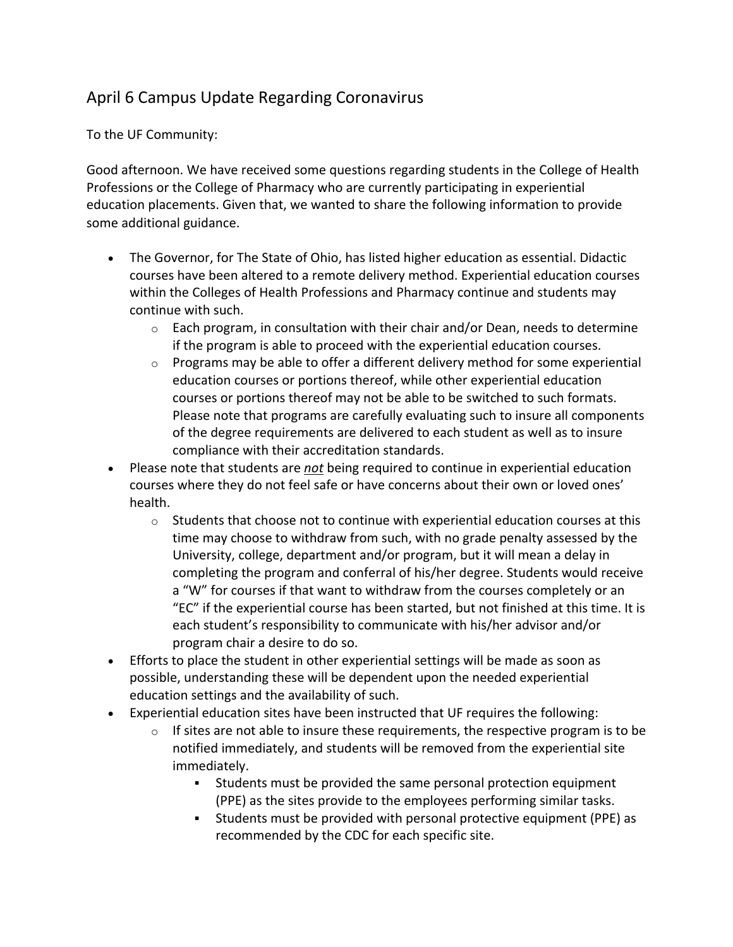## April 6 Campus Update Regarding Coronavirus

To the UF Community:

Good afternoon. We have received some questions regarding students in the College of Health Professions or the College of Pharmacy who are currently participating in experiential education placements. Given that, we wanted to share the following information to provide some additional guidance.

- The Governor, for The State of Ohio, has listed higher education as essential. Didactic courses have been altered to a remote delivery method. Experiential education courses within the Colleges of Health Professions and Pharmacy continue and students may continue with such.
	- $\circ$  Each program, in consultation with their chair and/or Dean, needs to determine if the program is able to proceed with the experiential education courses.
	- $\circ$  Programs may be able to offer a different delivery method for some experiential education courses or portions thereof, while other experiential education courses or portions thereof may not be able to be switched to such formats. Please note that programs are carefully evaluating such to insure all components of the degree requirements are delivered to each student as well as to insure compliance with their accreditation standards.
- Please note that students are *not* being required to continue in experiential education courses where they do not feel safe or have concerns about their own or loved ones' health.
	- $\circ$  Students that choose not to continue with experiential education courses at this time may choose to withdraw from such, with no grade penalty assessed by the University, college, department and/or program, but it will mean a delay in completing the program and conferral of his/her degree. Students would receive a "W" for courses if that want to withdraw from the courses completely or an "EC" if the experiential course has been started, but not finished at this time. It is each student's responsibility to communicate with his/her advisor and/or program chair a desire to do so.
- Efforts to place the student in other experiential settings will be made as soon as possible, understanding these will be dependent upon the needed experiential education settings and the availability of such.
- Experiential education sites have been instructed that UF requires the following:
	- $\circ$  If sites are not able to insure these requirements, the respective program is to be notified immediately, and students will be removed from the experiential site immediately.
		- § Students must be provided the same personal protection equipment (PPE) as the sites provide to the employees performing similar tasks.
		- § Students must be provided with personal protective equipment (PPE) as recommended by the CDC for each specific site.